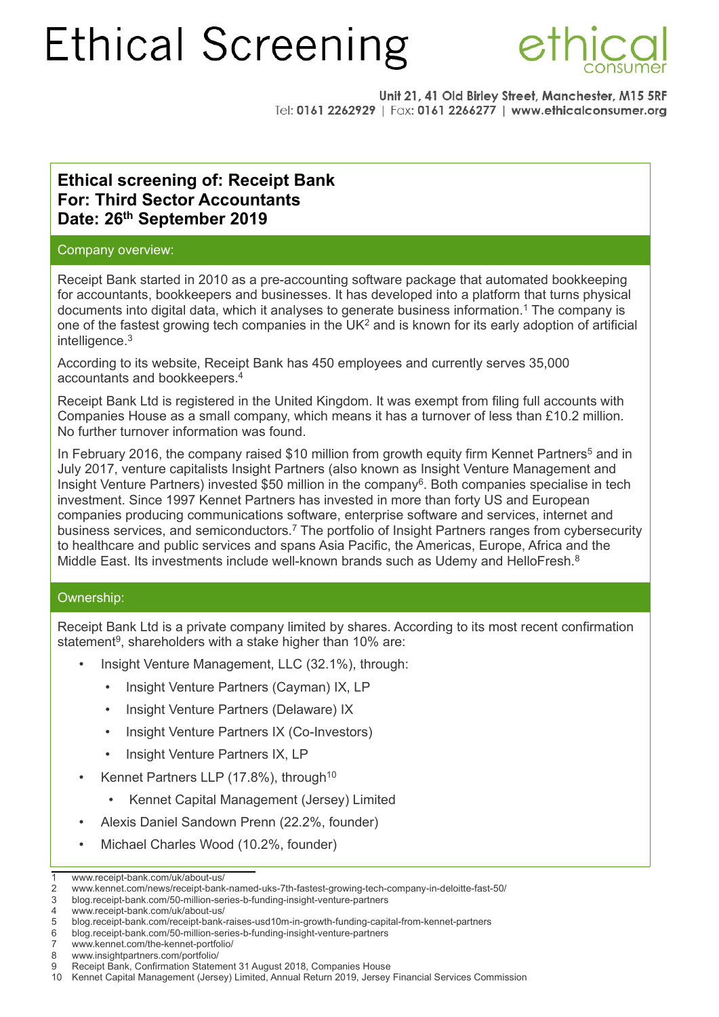

Unit 21, 41 Old Birley Street, Manchester, M15 5RF Tel: 0161 2262929 | Fax: 0161 2266277 | www.ethicalconsumer.org

## **Ethical screening of: Receipt Bank For: Third Sector Accountants Date: 26th September 2019**

### Company overview:

Receipt Bank started in 2010 as a pre-accounting software package that automated bookkeeping for accountants, bookkeepers and businesses. It has developed into a platform that turns physical documents into digital data, which it analyses to generate business information.<sup>[1](#page-0-0)</sup> The company is one of the fastest growing tech companies in the  $UK<sup>2</sup>$  $UK<sup>2</sup>$  $UK<sup>2</sup>$  and is known for its early adoption of artificial intelligence.<sup>[3](#page-0-2)</sup>

According to its website, Receipt Bank has 450 employees and currently serves 35,000 accountants and bookkeepers.[4](#page-0-3)

Receipt Bank Ltd is registered in the United Kingdom. It was exempt from filing full accounts with Companies House as a small company, which means it has a turnover of less than £10.2 million. No further turnover information was found.

In February 2016, the company raised \$10 million from growth equity firm Kennet Partners<sup>[5](#page-0-4)</sup> and in July 2017, venture capitalists Insight Partners (also known as Insight Venture Management and Insight Venture Partners) invested \$50 million in the company<sup>[6](#page-0-5)</sup>. Both companies specialise in tech investment. Since 1997 Kennet Partners has invested in more than forty US and European companies producing communications software, enterprise software and services, internet and business services, and semiconductors.<sup>[7](#page-0-6)</sup> The portfolio of Insight Partners ranges from cybersecurity to healthcare and public services and spans Asia Pacific, the Americas, Europe, Africa and the Middle East. Its investments include well-known brands such as Udemy and HelloFresh.[8](#page-0-7)

### Ownership:

Receipt Bank Ltd is a private company limited by shares. According to its most recent confirmation statement<sup>[9](#page-0-8)</sup>, shareholders with a stake higher than 10% are:

- Insight Venture Management, LLC (32.1%), through:
	- Insight Venture Partners (Cayman) IX, LP
	- Insight Venture Partners (Delaware) IX
	- Insight Venture Partners IX (Co-Investors)
	- Insight Venture Partners IX, LP
- Kennet Partners LLP (17.8%), through<sup>[10](#page-0-9)</sup>
	- Kennet Capital Management (Jersey) Limited
- Alexis Daniel Sandown Prenn (22.2%, founder)
- Michael Charles Wood (10.2%, founder)

<span id="page-0-0"></span><sup>1</sup> www.receipt-bank.com/uk/about-us/

<span id="page-0-1"></span><sup>2</sup> www.kennet.com/news/receipt-bank-named-uks-7th-fastest-growing-tech-company-in-deloitte-fast-50/

<span id="page-0-3"></span><span id="page-0-2"></span><sup>3</sup> blog.receipt-bank.com/50-million-series-b-funding-insight-venture-partners

<sup>4</sup> www.receipt-bank.com/uk/about-us/<br>5 blog.receipt-bank.com/receipt-bank-

<span id="page-0-4"></span><sup>5</sup> blog.receipt-bank.com/receipt-bank-raises-usd10m-in-growth-funding-capital-from-kennet-partners

<span id="page-0-5"></span><sup>6</sup> blog.receipt-bank.com/50-million-series-b-funding-insight-venture-partners

<span id="page-0-6"></span><sup>7</sup> www.kennet.com/the-kennet-portfolio/

<span id="page-0-7"></span><sup>8</sup> www.insightpartners.com/portfolio/

<span id="page-0-8"></span><sup>9</sup> Receipt Bank, Confirmation Statement 31 August 2018, Companies House

<span id="page-0-9"></span><sup>10</sup> Kennet Capital Management (Jersey) Limited, Annual Return 2019, Jersey Financial Services Commission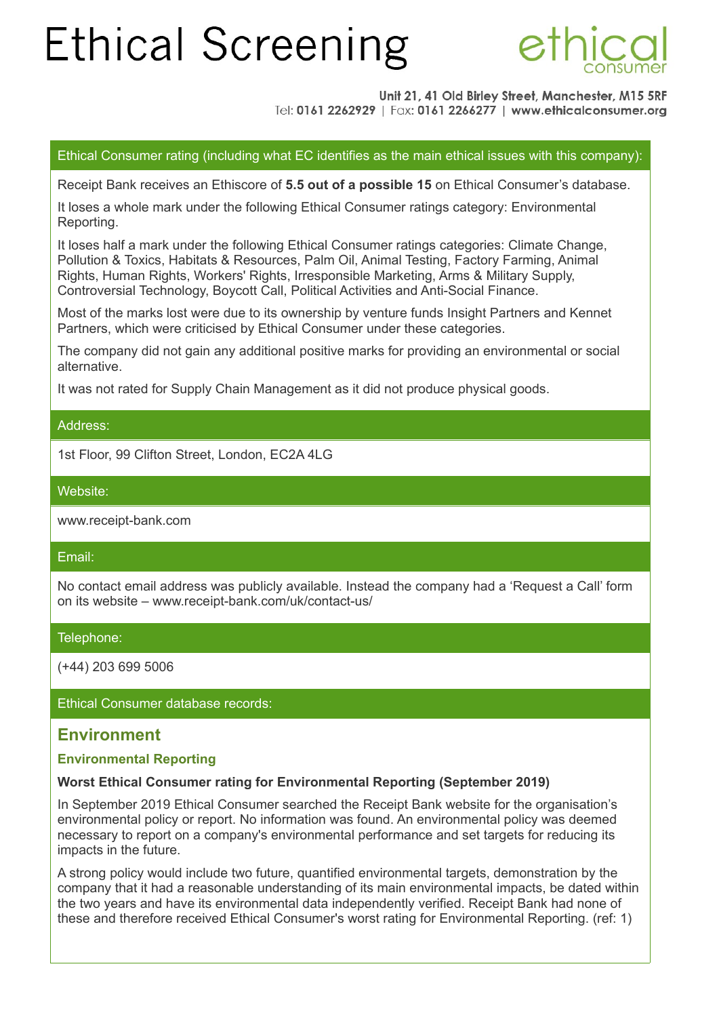

Unit 21, 41 Old Birley Street, Manchester, M15 5RF Tel: 0161 2262929 | Fax: 0161 2266277 | www.ethicalconsumer.org

Ethical Consumer rating (including what EC identifies as the main ethical issues with this company):

Receipt Bank receives an Ethiscore of **5.5 out of a possible 15** on Ethical Consumer's database.

It loses a whole mark under the following Ethical Consumer ratings category: Environmental Reporting.

It loses half a mark under the following Ethical Consumer ratings categories: Climate Change, Pollution & Toxics, Habitats & Resources, Palm Oil, Animal Testing, Factory Farming, Animal Rights, Human Rights, Workers' Rights, Irresponsible Marketing, Arms & Military Supply, Controversial Technology, Boycott Call, Political Activities and Anti-Social Finance.

Most of the marks lost were due to its ownership by venture funds Insight Partners and Kennet Partners, which were criticised by Ethical Consumer under these categories.

The company did not gain any additional positive marks for providing an environmental or social alternative.

It was not rated for Supply Chain Management as it did not produce physical goods.

### Address:

1st Floor, 99 Clifton Street, London, EC2A 4LG

Website:

www.receipt-bank.com

### Email:

No contact email address was publicly available. Instead the company had a 'Request a Call' form on its website – www.receipt-bank.com/uk/contact-us/

### Telephone:

(+44) 203 699 5006

Ethical Consumer database records:

## **Environment**

### **Environmental Reporting**

### **Worst Ethical Consumer rating for Environmental Reporting (September 2019)**

In September 2019 Ethical Consumer searched the Receipt Bank website for the organisation's environmental policy or report. No information was found. An environmental policy was deemed necessary to report on a company's environmental performance and set targets for reducing its impacts in the future.

A strong policy would include two future, quantified environmental targets, demonstration by the company that it had a reasonable understanding of its main environmental impacts, be dated within the two years and have its environmental data independently verified. Receipt Bank had none of these and therefore received Ethical Consumer's worst rating for Environmental Reporting. (ref: 1)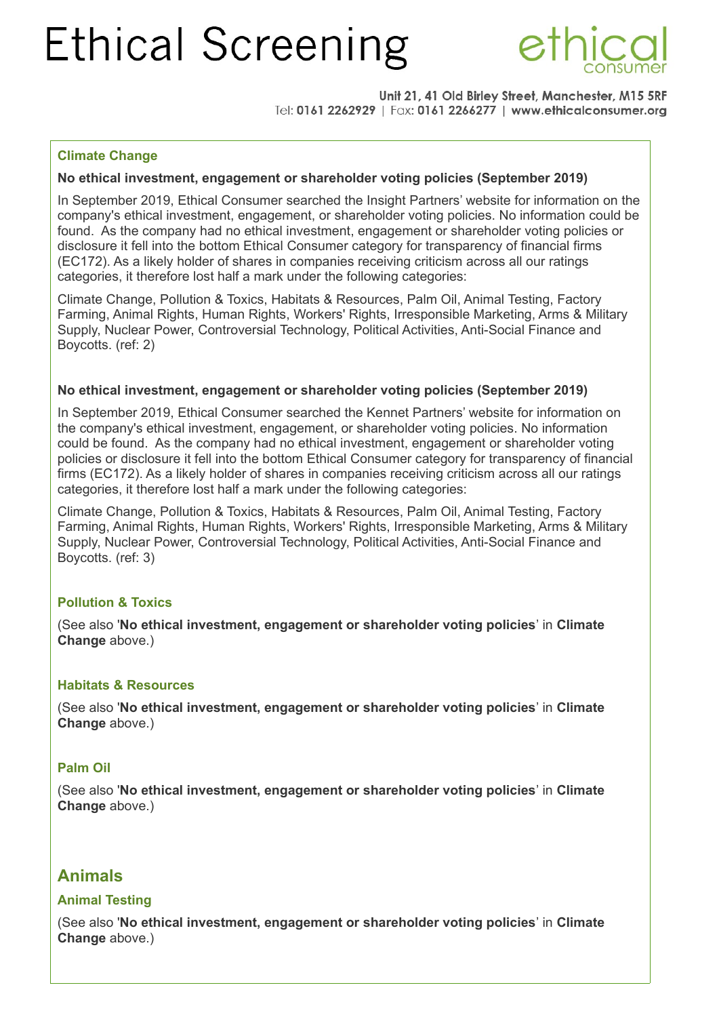

Unit 21, 41 Old Birley Street, Manchester, M15 5RF Tel: 0161 2262929 | Fax: 0161 2266277 | www.ethicalconsumer.org

### **Climate Change**

### **No ethical investment, engagement or shareholder voting policies (September 2019)**

In September 2019, Ethical Consumer searched the Insight Partners' website for information on the company's ethical investment, engagement, or shareholder voting policies. No information could be found. As the company had no ethical investment, engagement or shareholder voting policies or disclosure it fell into the bottom Ethical Consumer category for transparency of financial firms (EC172). As a likely holder of shares in companies receiving criticism across all our ratings categories, it therefore lost half a mark under the following categories:

Climate Change, Pollution & Toxics, Habitats & Resources, Palm Oil, Animal Testing, Factory Farming, Animal Rights, Human Rights, Workers' Rights, Irresponsible Marketing, Arms & Military Supply, Nuclear Power, Controversial Technology, Political Activities, Anti-Social Finance and Boycotts. (ref: 2)

### **No ethical investment, engagement or shareholder voting policies (September 2019)**

In September 2019, Ethical Consumer searched the Kennet Partners' website for information on the company's ethical investment, engagement, or shareholder voting policies. No information could be found. As the company had no ethical investment, engagement or shareholder voting policies or disclosure it fell into the bottom Ethical Consumer category for transparency of financial firms (EC172). As a likely holder of shares in companies receiving criticism across all our ratings categories, it therefore lost half a mark under the following categories:

Climate Change, Pollution & Toxics, Habitats & Resources, Palm Oil, Animal Testing, Factory Farming, Animal Rights, Human Rights, Workers' Rights, Irresponsible Marketing, Arms & Military Supply, Nuclear Power, Controversial Technology, Political Activities, Anti-Social Finance and Boycotts. (ref: 3)

### **Pollution & Toxics**

(See also '**No ethical investment, engagement or shareholder voting policies**' in **Climate Change** above.)

### **Habitats & Resources**

(See also '**No ethical investment, engagement or shareholder voting policies**' in **Climate Change** above.)

### **Palm Oil**

(See also '**No ethical investment, engagement or shareholder voting policies**' in **Climate Change** above.)

## **Animals**

### **Animal Testing**

(See also '**No ethical investment, engagement or shareholder voting policies**' in **Climate Change** above.)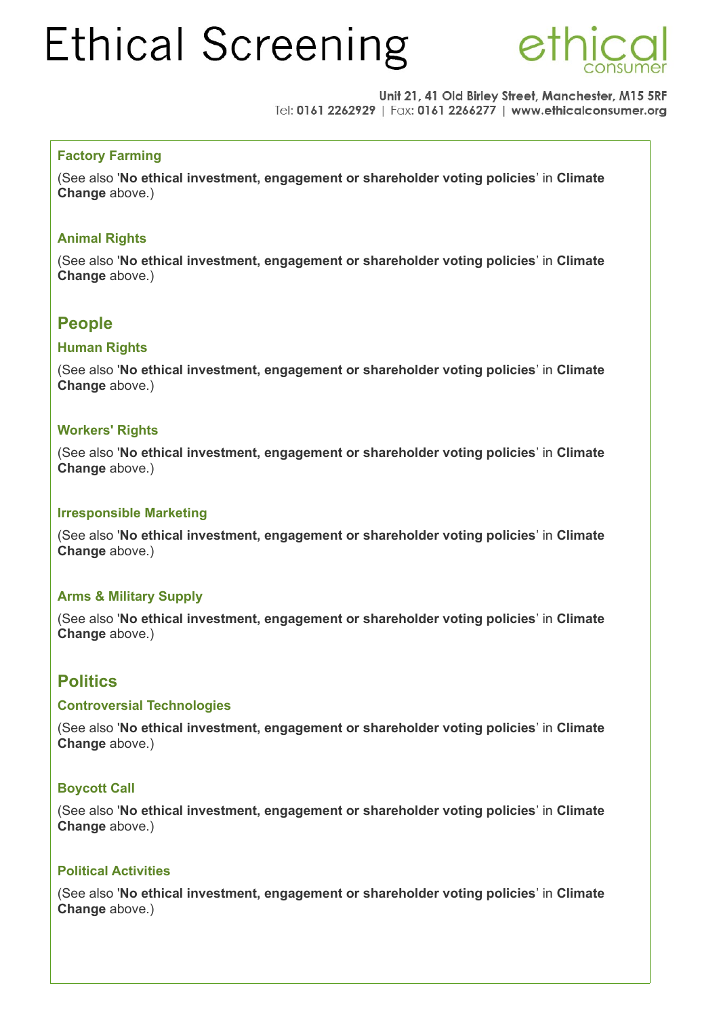

Unit 21, 41 Old Birley Street, Manchester, M15 5RF Tel: 0161 2262929 | Fax: 0161 2266277 | www.ethicalconsumer.org

### **Factory Farming**

(See also '**No ethical investment, engagement or shareholder voting policies**' in **Climate Change** above.)

### **Animal Rights**

(See also '**No ethical investment, engagement or shareholder voting policies**' in **Climate Change** above.)

## **People**

### **Human Rights**

(See also '**No ethical investment, engagement or shareholder voting policies**' in **Climate Change** above.)

### **Workers' Rights**

(See also '**No ethical investment, engagement or shareholder voting policies**' in **Climate Change** above.)

### **Irresponsible Marketing**

(See also '**No ethical investment, engagement or shareholder voting policies**' in **Climate Change** above.)

### **Arms & Military Supply**

(See also '**No ethical investment, engagement or shareholder voting policies**' in **Climate Change** above.)

## **Politics**

### **Controversial Technologies**

(See also '**No ethical investment, engagement or shareholder voting policies**' in **Climate Change** above.)

### **Boycott Call**

(See also '**No ethical investment, engagement or shareholder voting policies**' in **Climate Change** above.)

### **Political Activities**

(See also '**No ethical investment, engagement or shareholder voting policies**' in **Climate Change** above.)